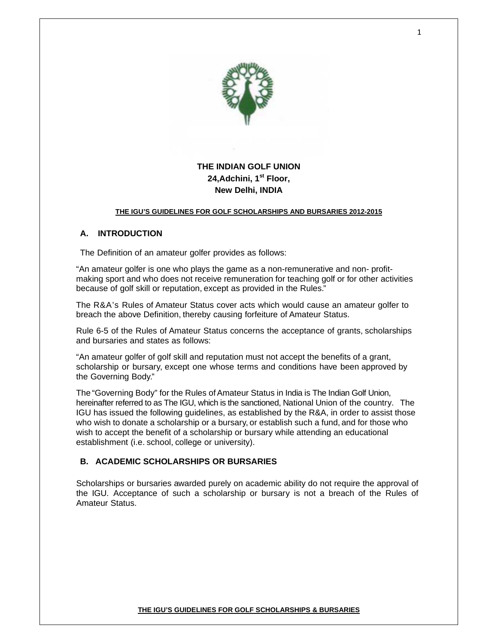

# **THE INDIAN GOLF UNION 24,Adchini, 1st Floor, New Delhi, INDIA**

#### **THE IGU'S GUIDELINES FOR GOLF SCHOLARSHIPS AND BURSARIES 2012-2015**

#### **A. INTRODUCTION**

The Definition of an amateur golfer provides as follows:

"An amateur golfer is one who plays the game as a non-remunerative and non- profitmaking sport and who does not receive remuneration for teaching golf or for other activities because of golf skill or reputation, except as provided in the Rules."

The R&A's Rules of Amateur Status cover acts which would cause an amateur golfer to breach the above Definition, thereby causing forfeiture of Amateur Status.

Rule 6-5 of the Rules of Amateur Status concerns the acceptance of grants, scholarships and bursaries and states as follows:

"An amateur golfer of golf skill and reputation must not accept the benefits of a grant, scholarship or bursary, except one whose terms and conditions have been approved by the Governing Body."

The "Governing Body" for the Rules of Amateur Status in India is The Indian Golf Union, hereinafter referred to as The IGU, which is the sanctioned, National Union of the country. The IGU has issued the following guidelines, as established by the R&A, in order to assist those who wish to donate a scholarship or a bursary, or establish such a fund, and for those who wish to accept the benefit of a scholarship or bursary while attending an educational establishment (i.e. school, college or university).

#### **B. ACADEMIC SCHOLARSHIPS OR BURSARIES**

Scholarships or bursaries awarded purely on academic ability do not require the approval of the IGU. Acceptance of such a scholarship or bursary is not a breach of the Rules of Amateur Status.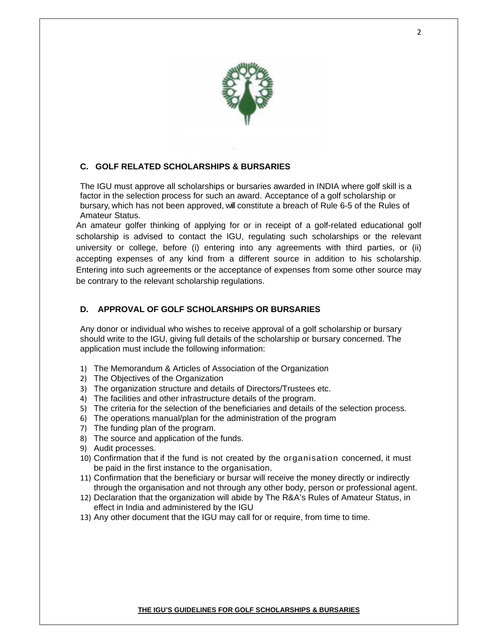

# **C. GOLF RELATED SCHOLARSHIPS & BURSARIES**

The IGU must approve all scholarships or bursaries awarded in INDIA where golf skill is a factor in the selection process for such an award. Acceptance of a golf scholarship or bursary, which has not been approved, will constitute a breach of Rule 6-5 of the Rules of Amateur Status.

An amateur golfer thinking of applying for or in receipt of a golf-related educational golf scholarship is advised to contact the IGU, regulating such scholarships or the relevant university or college, before (i) entering into any agreements with third parties, or (ii) accepting expenses of any kind from a different source in addition to his scholarship. Entering into such agreements or the acceptance of expenses from some other source may be contrary to the relevant scholarship regulations.

#### **D. APPROVAL OF GOLF SCHOLARSHIPS OR BURSARIES**

Any donor or individual who wishes to receive approval of a golf scholarship or bursary should write to the IGU, giving full details of the scholarship or bursary concerned. The application must include the following information:

- 1) The Memorandum & Articles of Association of the Organization
- 2) The Objectives of the Organization
- 3) The organization structure and details of Directors/Trustees etc.
- 4) The facilities and other infrastructure details of the program.
- 5) The criteria for the selection of the beneficiaries and details of the selection process.
- 6) The operations manual/plan for the administration of the program
- 7) The funding plan of the program.
- 8) The source and application of the funds.
- 9) Audit processes.
- 10) Confirmation that if the fund is not created by the organisation concerned, it must be paid in the first instance to the organisation.
- 11) Confirmation that the beneficiary or bursar will receive the money directly or indirectly through the organisation and not through any other body, person or professional agent.
- 12) Declaration that the organization will abide by The R&A's Rules of Amateur Status, in effect in India and administered by the IGU
- 13) Any other document that the IGU may call for or require, from time to time.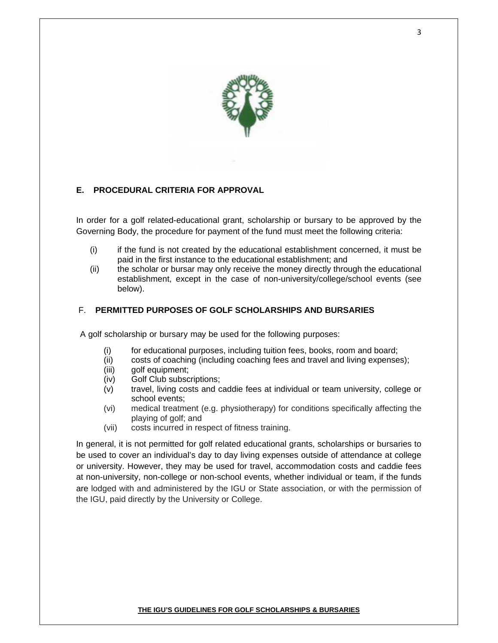

# **E. PROCEDURAL CRITERIA FOR APPROVAL**

In order for a golf related-educational grant, scholarship or bursary to be approved by the Governing Body, the procedure for payment of the fund must meet the following criteria:

- (i) if the fund is not created by the educational establishment concerned, it must be paid in the first instance to the educational establishment; and
- (ii) the scholar or bursar may only receive the money directly through the educational establishment, except in the case of non-university/college/school events (see below).

# F. **PERMITTED PURPOSES OF GOLF SCHOLARSHIPS AND BURSARIES**

A golf scholarship or bursary may be used for the following purposes:

- (i) for educational purposes, including tuition fees, books, room and board;
- (ii) costs of coaching (including coaching fees and travel and living expenses);
- (iii) golf equipment;
- (iv) Golf Club subscriptions;
- (v) travel, living costs and caddie fees at individual or team university, college or school events;
- (vi) medical treatment (e.g. physiotherapy) for conditions specifically affecting the playing of golf; and
- (vii) costs incurred in respect of fitness training.

In general, it is not permitted for golf related educational grants, scholarships or bursaries to be used to cover an individual's day to day living expenses outside of attendance at college or university. However, they may be used for travel, accommodation costs and caddie fees at non-university, non-college or non-school events, whether individual or team, if the funds are lodged with and administered by the IGU or State association, or with the permission of the IGU, paid directly by the University or College.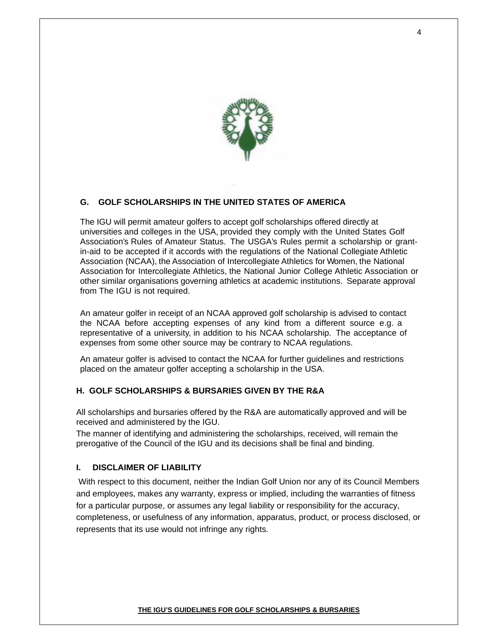

# **G. GOLF SCHOLARSHIPS IN THE UNITED STATES OF AMERICA**

The IGU will permit amateur golfers to accept golf scholarships offered directly at universities and colleges in the USA, provided they comply with the United States Golf Association's Rules of Amateur Status. The USGA's Rules permit a scholarship or grantin-aid to be accepted if it accords with the regulations of the National Collegiate Athletic Association (NCAA), the Association of Intercollegiate Athletics for Women, the National Association for Intercollegiate Athletics, the National Junior College Athletic Association or other similar organisations governing athletics at academic institutions. Separate approval from The IGU is not required.

An amateur golfer in receipt of an NCAA approved golf scholarship is advised to contact the NCAA before accepting expenses of any kind from a different source e.g. a representative of a university, in addition to his NCAA scholarship. The acceptance of expenses from some other source may be contrary to NCAA regulations.

An amateur golfer is advised to contact the NCAA for further guidelines and restrictions placed on the amateur golfer accepting a scholarship in the USA.

# **H. GOLF SCHOLARSHIPS & BURSARIES GIVEN BY THE R&A**

All scholarships and bursaries offered by the R&A are automatically approved and will be received and administered by the IGU.

The manner of identifying and administering the scholarships, received, will remain the prerogative of the Council of the IGU and its decisions shall be final and binding.

#### **I. DISCLAIMER OF LIABILITY**

 With respect to this document, neither the Indian Golf Union nor any of its Council Members and employees, makes any warranty, express or implied, including the warranties of fitness for a particular purpose, or assumes any legal liability or responsibility for the accuracy, completeness, or usefulness of any information, apparatus, product, or process disclosed, or represents that its use would not infringe any rights.